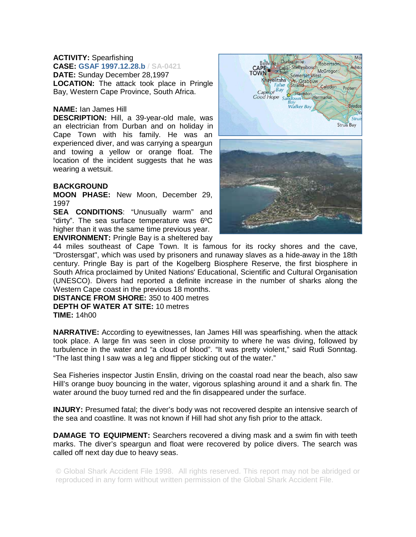## **ACTIVITY:** Spearfishing

**CASE: GSAF 1997.12.28.b** / **SA-0421 DATE:** Sunday December 28,1997 **LOCATION:** The attack took place in Pringle Bay, Western Cape Province, South Africa.

## **NAME:** Ian James Hill

**DESCRIPTION:** Hill, a 39-year-old male, was an electrician from Durban and on holiday in Cape Town with his family. He was an experienced diver, and was carrying a speargun and towing a yellow or orange float. The location of the incident suggests that he was wearing a wetsuit.

## **BACKGROUND**

**MOON PHASE:** New Moon, December 29, 1997

**SEA CONDITIONS**: "Unusually warm" and "dirty". The sea surface temperature was 6ºC higher than it was the same time previous year. **ENVIRONMENT:** Pringle Bay is a sheltered bay



44 miles southeast of Cape Town. It is famous for its rocky shores and the cave, "Drostersgat", which was used by prisoners and runaway slaves as a hide-away in the 18th century. Pringle Bay is part of the Kogelberg Biosphere Reserve, the first biosphere in South Africa proclaimed by United Nations' Educational, Scientific and Cultural Organisation (UNESCO). Divers had reported a definite increase in the number of sharks along the Western Cape coast in the previous 18 months.

**DISTANCE FROM SHORE:** 350 to 400 metres **DEPTH OF WATER AT SITE:** 10 metres **TIME:** 14h00

**NARRATIVE:** According to eyewitnesses, Ian James Hill was spearfishing. when the attack took place. A large fin was seen in close proximity to where he was diving, followed by turbulence in the water and "a cloud of blood". "It was pretty violent," said Rudi Sonntag. "The last thing I saw was a leg and flipper sticking out of the water."

Sea Fisheries inspector Justin Enslin, driving on the coastal road near the beach, also saw Hill's orange buoy bouncing in the water, vigorous splashing around it and a shark fin. The water around the buoy turned red and the fin disappeared under the surface.

**INJURY:** Presumed fatal; the diver's body was not recovered despite an intensive search of the sea and coastline. It was not known if Hill had shot any fish prior to the attack.

**DAMAGE TO EQUIPMENT:** Searchers recovered a diving mask and a swim fin with teeth marks. The diver's speargun and float were recovered by police divers. The search was called off next day due to heavy seas.

© Global Shark Accident File 1998. All rights reserved. This report may not be abridged or reproduced in any form without written permission of the Global Shark Accident File.